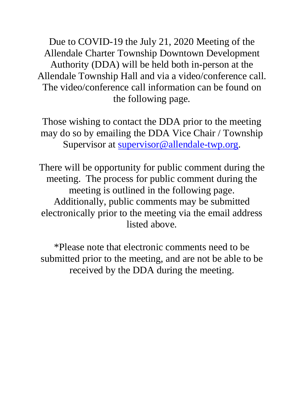Due to COVID-19 the July 21, 2020 Meeting of the Allendale Charter Township Downtown Development Authority (DDA) will be held both in-person at the Allendale Township Hall and via a video/conference call. The video/conference call information can be found on the following page.

Those wishing to contact the DDA prior to the meeting may do so by emailing the DDA Vice Chair / Township Supervisor at [supervisor@allendale-twp.org.](mailto:supervisor@allendale-twp.org)

There will be opportunity for public comment during the meeting. The process for public comment during the meeting is outlined in the following page. Additionally, public comments may be submitted electronically prior to the meeting via the email address listed above.

\*Please note that electronic comments need to be submitted prior to the meeting, and are not be able to be received by the DDA during the meeting.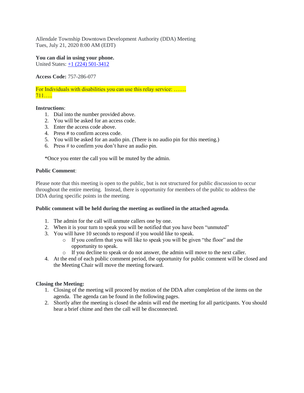Allendale Township Downtown Development Authority (DDA) Meeting Tues, July 21, 2020 8:00 AM (EDT)

**You can dial in using your phone.** United States: [+1 \(224\) 501-3412](tel:+12245013412,,757286077)

**Access Code:** 757-286-077

For Individuals with disabilities you can use this relay service: ……. 711…..

#### **Instructions**:

- 1. Dial into the number provided above.
- 2. You will be asked for an access code.
- 3. Enter the access code above.
- 4. Press # to confirm access code.
- 5. You will be asked for an audio pin. (There is no audio pin for this meeting.)
- 6. Press  $#$  to confirm you don't have an audio pin.

\*Once you enter the call you will be muted by the admin.

### **Public Comment**:

Please note that this meeting is open to the public, but is not structured for public discussion to occur throughout the entire meeting. Instead, there is opportunity for members of the public to address the DDA during specific points in the meeting.

#### **Public comment will be held during the meeting as outlined in the attached agenda**.

- 1. The admin for the call will unmute callers one by one.
- 2. When it is your turn to speak you will be notified that you have been "unmuted"
- 3. You will have 10 seconds to respond if you would like to speak.
	- o If you confirm that you will like to speak you will be given "the floor" and the opportunity to speak.
	- o If you decline to speak or do not answer, the admin will move to the next caller.
- 4. At the end of each public comment period, the opportunity for public comment will be closed and the Meeting Chair will move the meeting forward.

## **Closing the Meeting:**

- 1. Closing of the meeting will proceed by motion of the DDA after completion of the items on the agenda. The agenda can be found in the following pages.
- 2. Shortly after the meeting is closed the admin will end the meeting for all participants. You should hear a brief chime and then the call will be disconnected.